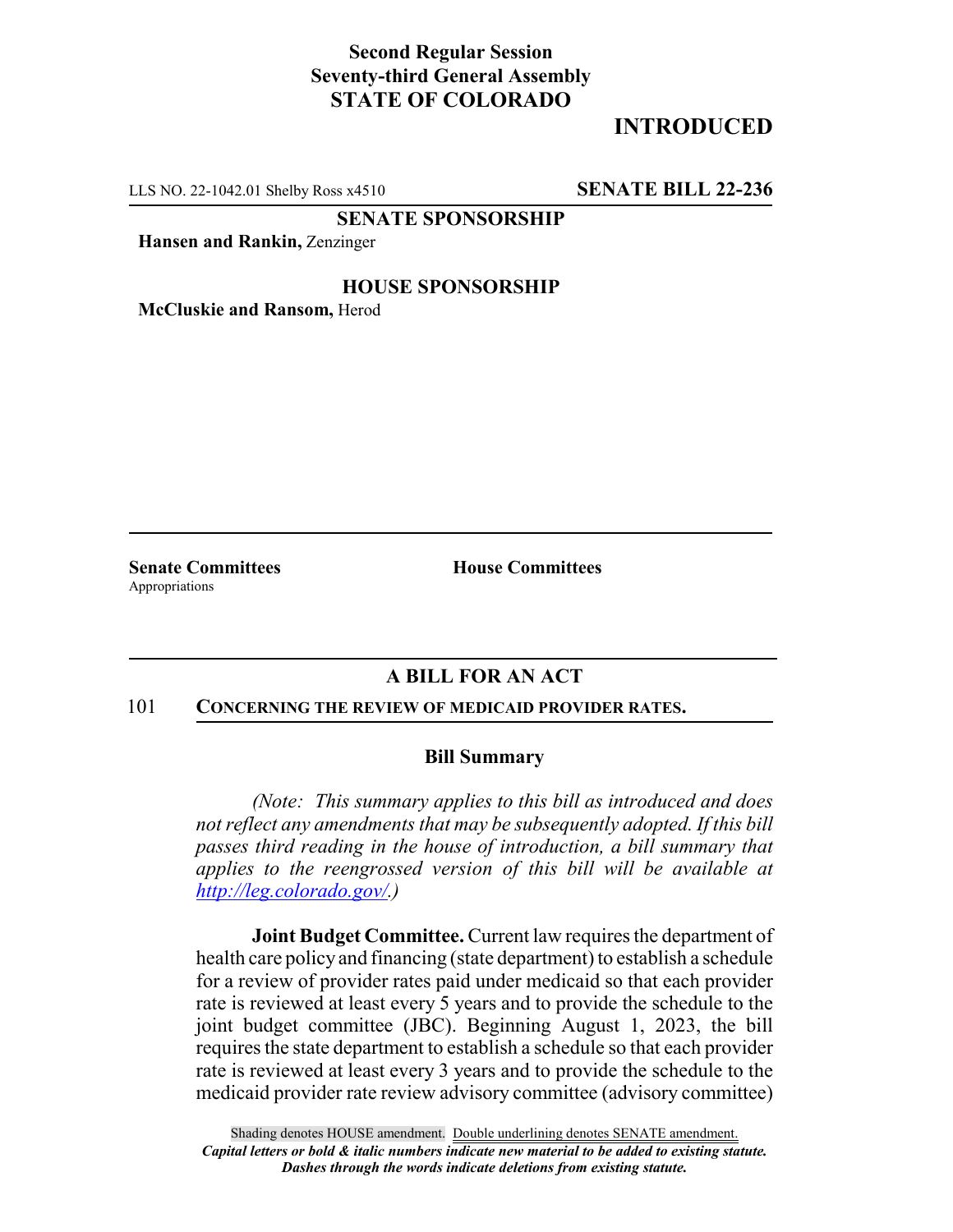## **Second Regular Session Seventy-third General Assembly STATE OF COLORADO**

# **INTRODUCED**

LLS NO. 22-1042.01 Shelby Ross x4510 **SENATE BILL 22-236**

**SENATE SPONSORSHIP**

**Hansen and Rankin,** Zenzinger

#### **HOUSE SPONSORSHIP**

**McCluskie and Ransom,** Herod

Appropriations

**Senate Committees House Committees** 

### **A BILL FOR AN ACT**

#### 101 **CONCERNING THE REVIEW OF MEDICAID PROVIDER RATES.**

#### **Bill Summary**

*(Note: This summary applies to this bill as introduced and does not reflect any amendments that may be subsequently adopted. If this bill passes third reading in the house of introduction, a bill summary that applies to the reengrossed version of this bill will be available at http://leg.colorado.gov/.)*

**Joint Budget Committee.** Current law requires the department of health care policy and financing (state department) to establish a schedule for a review of provider rates paid under medicaid so that each provider rate is reviewed at least every 5 years and to provide the schedule to the joint budget committee (JBC). Beginning August 1, 2023, the bill requires the state department to establish a schedule so that each provider rate is reviewed at least every 3 years and to provide the schedule to the medicaid provider rate review advisory committee (advisory committee)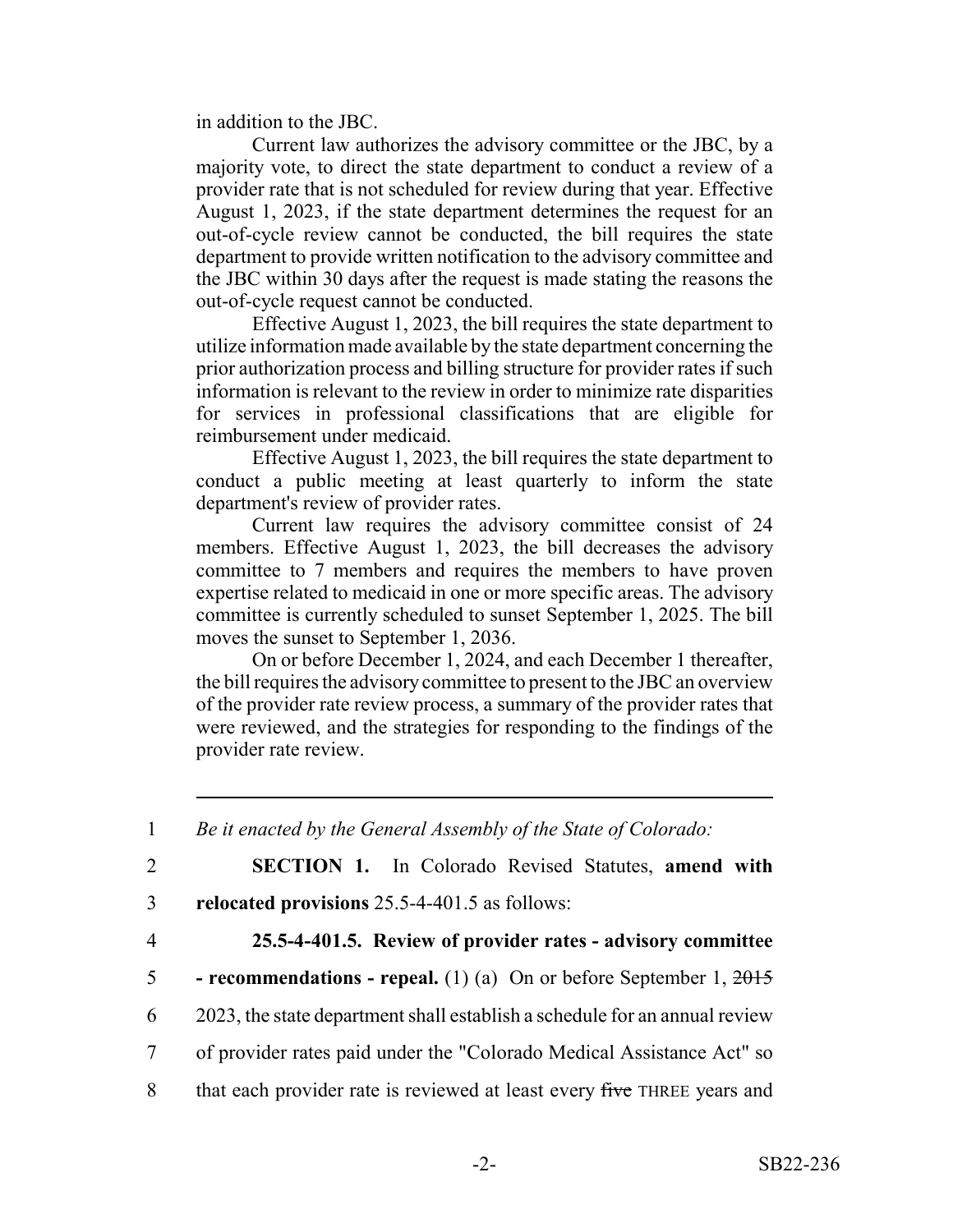in addition to the JBC.

Current law authorizes the advisory committee or the JBC, by a majority vote, to direct the state department to conduct a review of a provider rate that is not scheduled for review during that year. Effective August 1, 2023, if the state department determines the request for an out-of-cycle review cannot be conducted, the bill requires the state department to provide written notification to the advisory committee and the JBC within 30 days after the request is made stating the reasons the out-of-cycle request cannot be conducted.

Effective August 1, 2023, the bill requires the state department to utilize information made available by the state department concerning the prior authorization process and billing structure for provider rates if such information is relevant to the review in order to minimize rate disparities for services in professional classifications that are eligible for reimbursement under medicaid.

Effective August 1, 2023, the bill requires the state department to conduct a public meeting at least quarterly to inform the state department's review of provider rates.

Current law requires the advisory committee consist of 24 members. Effective August 1, 2023, the bill decreases the advisory committee to 7 members and requires the members to have proven expertise related to medicaid in one or more specific areas. The advisory committee is currently scheduled to sunset September 1, 2025. The bill moves the sunset to September 1, 2036.

On or before December 1, 2024, and each December 1 thereafter, the bill requires the advisory committee to present to the JBC an overview of the provider rate review process, a summary of the provider rates that were reviewed, and the strategies for responding to the findings of the provider rate review.

1 *Be it enacted by the General Assembly of the State of Colorado:*

2 **SECTION 1.** In Colorado Revised Statutes, **amend with**

- 3 **relocated provisions** 25.5-4-401.5 as follows:
- 

## 4 **25.5-4-401.5. Review of provider rates - advisory committee**

- 5  **recommendations repeal.** (1) (a) On or before September 1, 2015
- 6 2023, the state department shall establish a schedule for an annual review
- 7 of provider rates paid under the "Colorado Medical Assistance Act" so
- 8 that each provider rate is reviewed at least every five THREE years and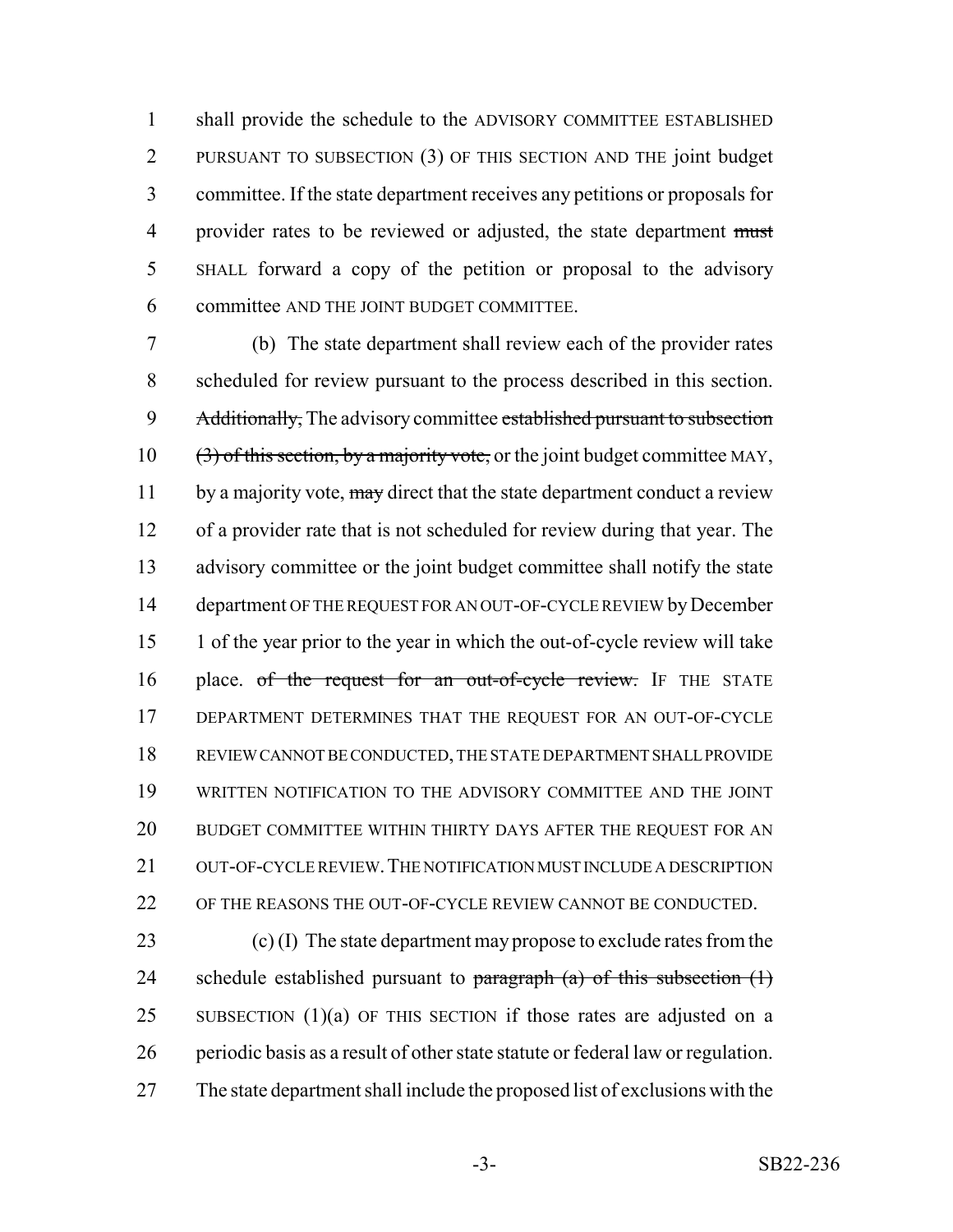shall provide the schedule to the ADVISORY COMMITTEE ESTABLISHED PURSUANT TO SUBSECTION (3) OF THIS SECTION AND THE joint budget committee. If the state department receives any petitions or proposals for 4 provider rates to be reviewed or adjusted, the state department must SHALL forward a copy of the petition or proposal to the advisory committee AND THE JOINT BUDGET COMMITTEE.

 (b) The state department shall review each of the provider rates scheduled for review pursuant to the process described in this section. 9 Additionally, The advisory committee established pursuant to subsection  $(3)$  of this section, by a majority vote, or the joint budget committee MAY, 11 by a majority vote, may direct that the state department conduct a review of a provider rate that is not scheduled for review during that year. The advisory committee or the joint budget committee shall notify the state department OF THE REQUEST FOR AN OUT-OF-CYCLE REVIEW by December 1 of the year prior to the year in which the out-of-cycle review will take 16 place. of the request for an out-of-cycle review. IF THE STATE DEPARTMENT DETERMINES THAT THE REQUEST FOR AN OUT-OF-CYCLE REVIEW CANNOT BE CONDUCTED, THE STATE DEPARTMENT SHALL PROVIDE WRITTEN NOTIFICATION TO THE ADVISORY COMMITTEE AND THE JOINT BUDGET COMMITTEE WITHIN THIRTY DAYS AFTER THE REQUEST FOR AN 21 OUT-OF-CYCLE REVIEW. THE NOTIFICATION MUST INCLUDE A DESCRIPTION OF THE REASONS THE OUT-OF-CYCLE REVIEW CANNOT BE CONDUCTED.

 (c) (I) The state department may propose to exclude rates from the 24 schedule established pursuant to paragraph  $(a)$  of this subsection  $(1)$ 25 SUBSECTION  $(1)(a)$  OF THIS SECTION if those rates are adjusted on a periodic basis as a result of other state statute or federal law or regulation. The state department shall include the proposed list of exclusions with the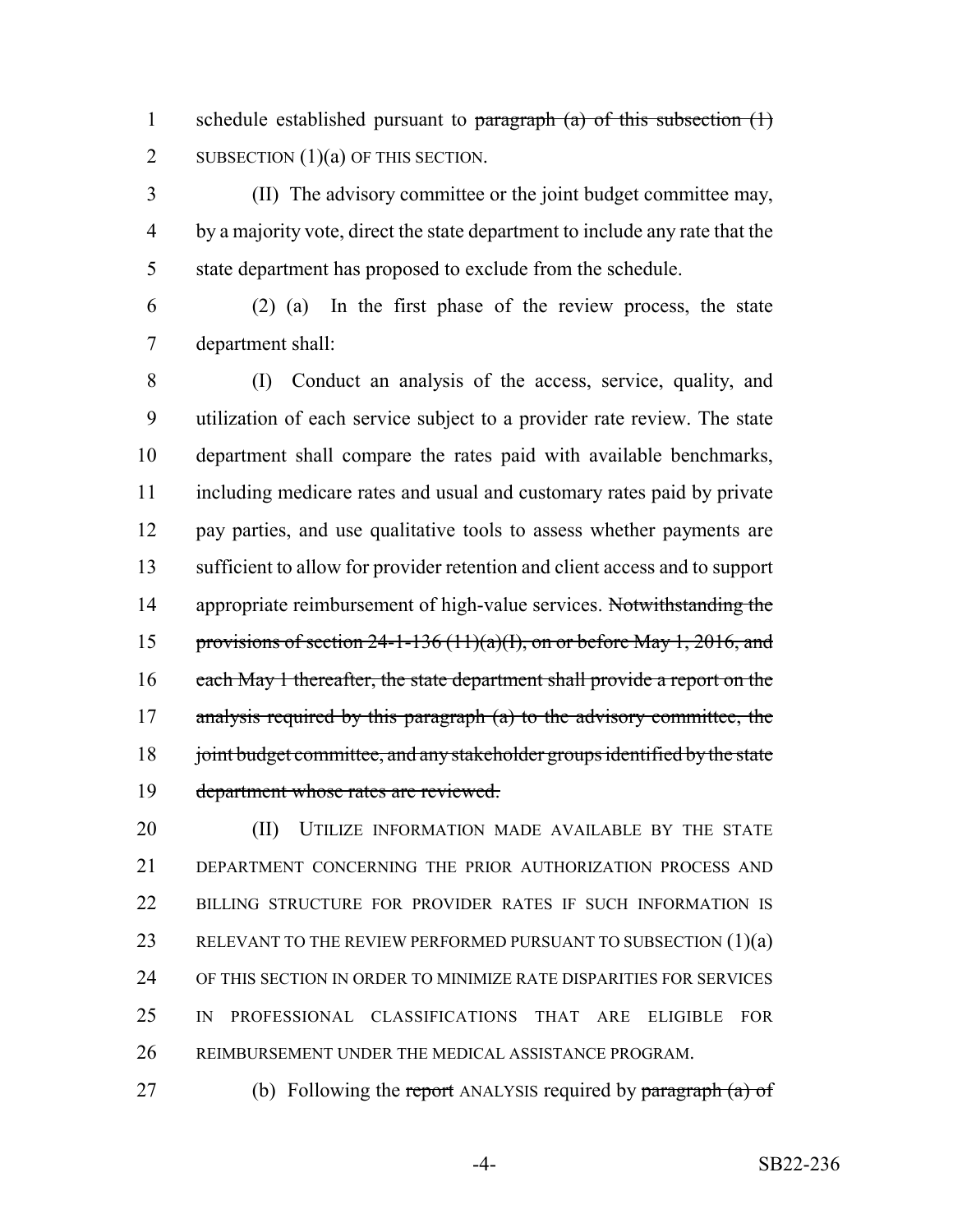1 schedule established pursuant to  $\frac{\partial}{\partial x}$  (a) of this subsection (1) 2 SUBSECTION  $(1)(a)$  OF THIS SECTION.

 (II) The advisory committee or the joint budget committee may, by a majority vote, direct the state department to include any rate that the state department has proposed to exclude from the schedule.

 (2) (a) In the first phase of the review process, the state department shall:

 (I) Conduct an analysis of the access, service, quality, and utilization of each service subject to a provider rate review. The state department shall compare the rates paid with available benchmarks, including medicare rates and usual and customary rates paid by private pay parties, and use qualitative tools to assess whether payments are sufficient to allow for provider retention and client access and to support 14 appropriate reimbursement of high-value services. Not with standing the 15 provisions of section  $24-1-136(11)(a)(1)$ , on or before May 1, 2016, and 16 each May 1 thereafter, the state department shall provide a report on the 17 analysis required by this paragraph (a) to the advisory committee, the 18 joint budget committee, and any stakeholder groups identified by the state department whose rates are reviewed.

**(II)** UTILIZE INFORMATION MADE AVAILABLE BY THE STATE DEPARTMENT CONCERNING THE PRIOR AUTHORIZATION PROCESS AND BILLING STRUCTURE FOR PROVIDER RATES IF SUCH INFORMATION IS 23 RELEVANT TO THE REVIEW PERFORMED PURSUANT TO SUBSECTION (1)(a) OF THIS SECTION IN ORDER TO MINIMIZE RATE DISPARITIES FOR SERVICES IN PROFESSIONAL CLASSIFICATIONS THAT ARE ELIGIBLE FOR REIMBURSEMENT UNDER THE MEDICAL ASSISTANCE PROGRAM.

27 (b) Following the report ANALYSIS required by paragraph (a) of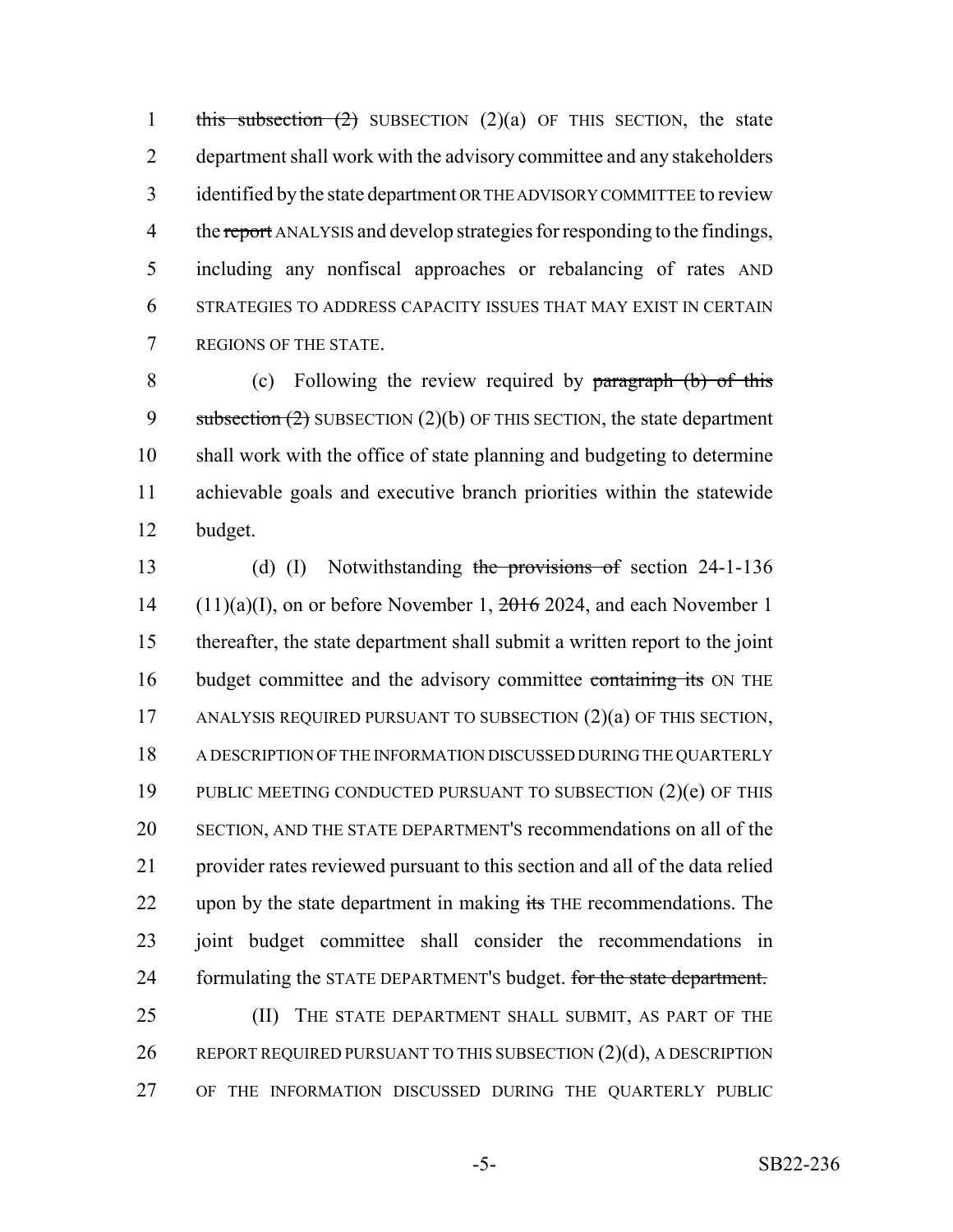1 this subsection  $(2)$  SUBSECTION  $(2)(a)$  OF THIS SECTION, the state department shall work with the advisory committee and any stakeholders identified by the state department OR THE ADVISORY COMMITTEE to review 4 the report ANALYSIS and develop strategies for responding to the findings, including any nonfiscal approaches or rebalancing of rates AND STRATEGIES TO ADDRESS CAPACITY ISSUES THAT MAY EXIST IN CERTAIN REGIONS OF THE STATE.

8 (c) Following the review required by paragraph (b) of this 9 subsection  $(2)$  SUBSECTION  $(2)(b)$  OF THIS SECTION, the state department 10 shall work with the office of state planning and budgeting to determine 11 achievable goals and executive branch priorities within the statewide 12 budget.

13 (d) (I) Notwithstanding the provisions of section 24-1-136 14 (11)(a)(I), on or before November 1,  $2016$  2024, and each November 1 15 thereafter, the state department shall submit a written report to the joint 16 budget committee and the advisory committee containing its ON THE 17 ANALYSIS REQUIRED PURSUANT TO SUBSECTION (2)(a) OF THIS SECTION, 18 A DESCRIPTION OF THE INFORMATION DISCUSSED DURING THE QUARTERLY 19 PUBLIC MEETING CONDUCTED PURSUANT TO SUBSECTION (2)(e) OF THIS 20 SECTION, AND THE STATE DEPARTMENT'S recommendations on all of the 21 provider rates reviewed pursuant to this section and all of the data relied 22 upon by the state department in making its THE recommendations. The 23 joint budget committee shall consider the recommendations in 24 formulating the STATE DEPARTMENT's budget. for the state department. 25 (II) THE STATE DEPARTMENT SHALL SUBMIT, AS PART OF THE 26 REPORT REQUIRED PURSUANT TO THIS SUBSECTION (2)(d), A DESCRIPTION 27 OF THE INFORMATION DISCUSSED DURING THE QUARTERLY PUBLIC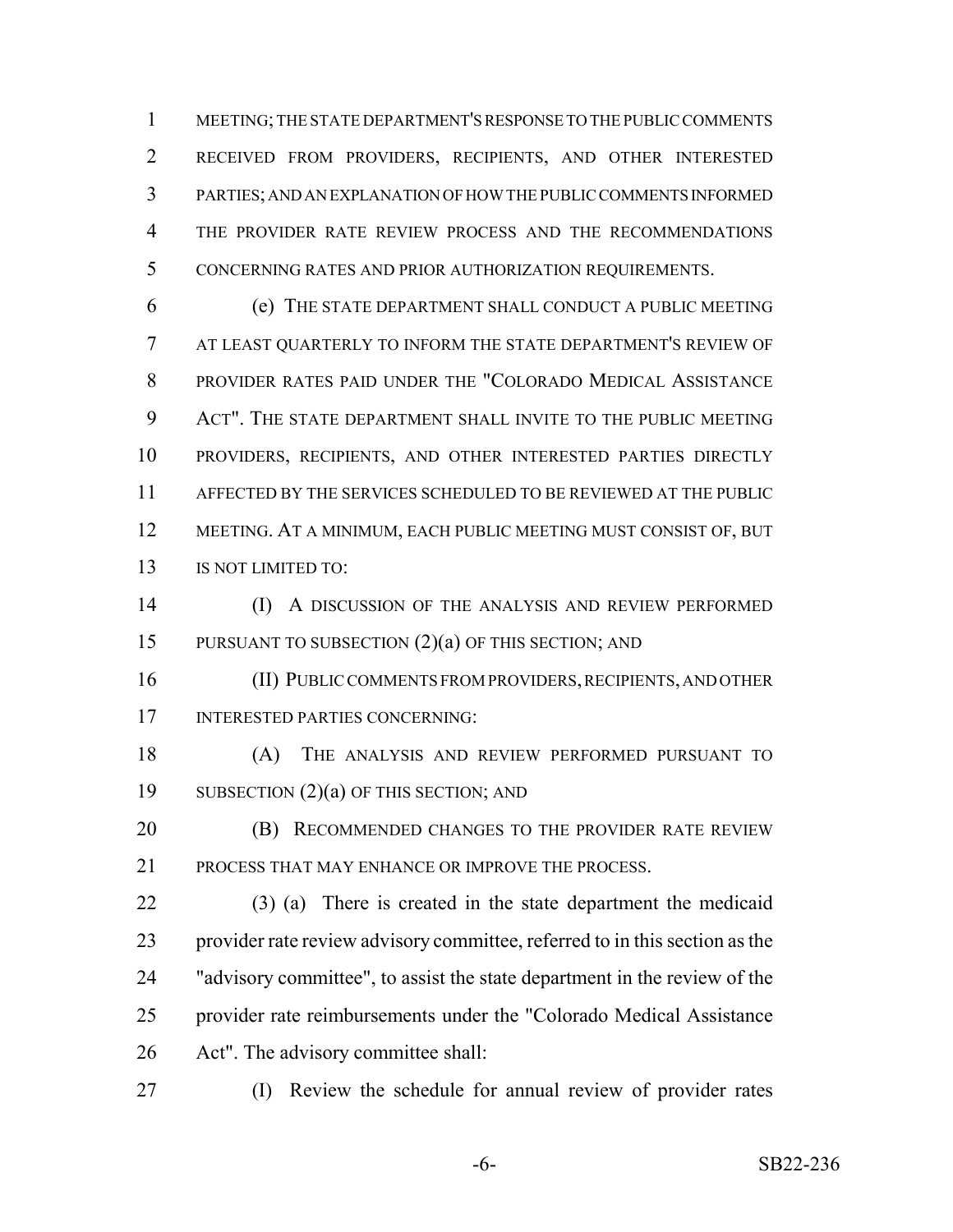MEETING; THE STATE DEPARTMENT'S RESPONSE TO THE PUBLIC COMMENTS RECEIVED FROM PROVIDERS, RECIPIENTS, AND OTHER INTERESTED PARTIES; AND AN EXPLANATION OF HOW THE PUBLIC COMMENTS INFORMED THE PROVIDER RATE REVIEW PROCESS AND THE RECOMMENDATIONS CONCERNING RATES AND PRIOR AUTHORIZATION REQUIREMENTS.

 (e) THE STATE DEPARTMENT SHALL CONDUCT A PUBLIC MEETING AT LEAST QUARTERLY TO INFORM THE STATE DEPARTMENT'S REVIEW OF PROVIDER RATES PAID UNDER THE "COLORADO MEDICAL ASSISTANCE ACT". THE STATE DEPARTMENT SHALL INVITE TO THE PUBLIC MEETING PROVIDERS, RECIPIENTS, AND OTHER INTERESTED PARTIES DIRECTLY AFFECTED BY THE SERVICES SCHEDULED TO BE REVIEWED AT THE PUBLIC MEETING. AT A MINIMUM, EACH PUBLIC MEETING MUST CONSIST OF, BUT 13 IS NOT LIMITED TO:

 (I) A DISCUSSION OF THE ANALYSIS AND REVIEW PERFORMED 15 PURSUANT TO SUBSECTION (2)(a) OF THIS SECTION; AND

 (II) PUBLIC COMMENTS FROM PROVIDERS, RECIPIENTS, AND OTHER INTERESTED PARTIES CONCERNING:

 (A) THE ANALYSIS AND REVIEW PERFORMED PURSUANT TO 19 SUBSECTION (2)(a) OF THIS SECTION; AND

**(B) RECOMMENDED CHANGES TO THE PROVIDER RATE REVIEW** 21 PROCESS THAT MAY ENHANCE OR IMPROVE THE PROCESS.

 (3) (a) There is created in the state department the medicaid provider rate review advisory committee, referred to in this section as the "advisory committee", to assist the state department in the review of the provider rate reimbursements under the "Colorado Medical Assistance Act". The advisory committee shall:

(I) Review the schedule for annual review of provider rates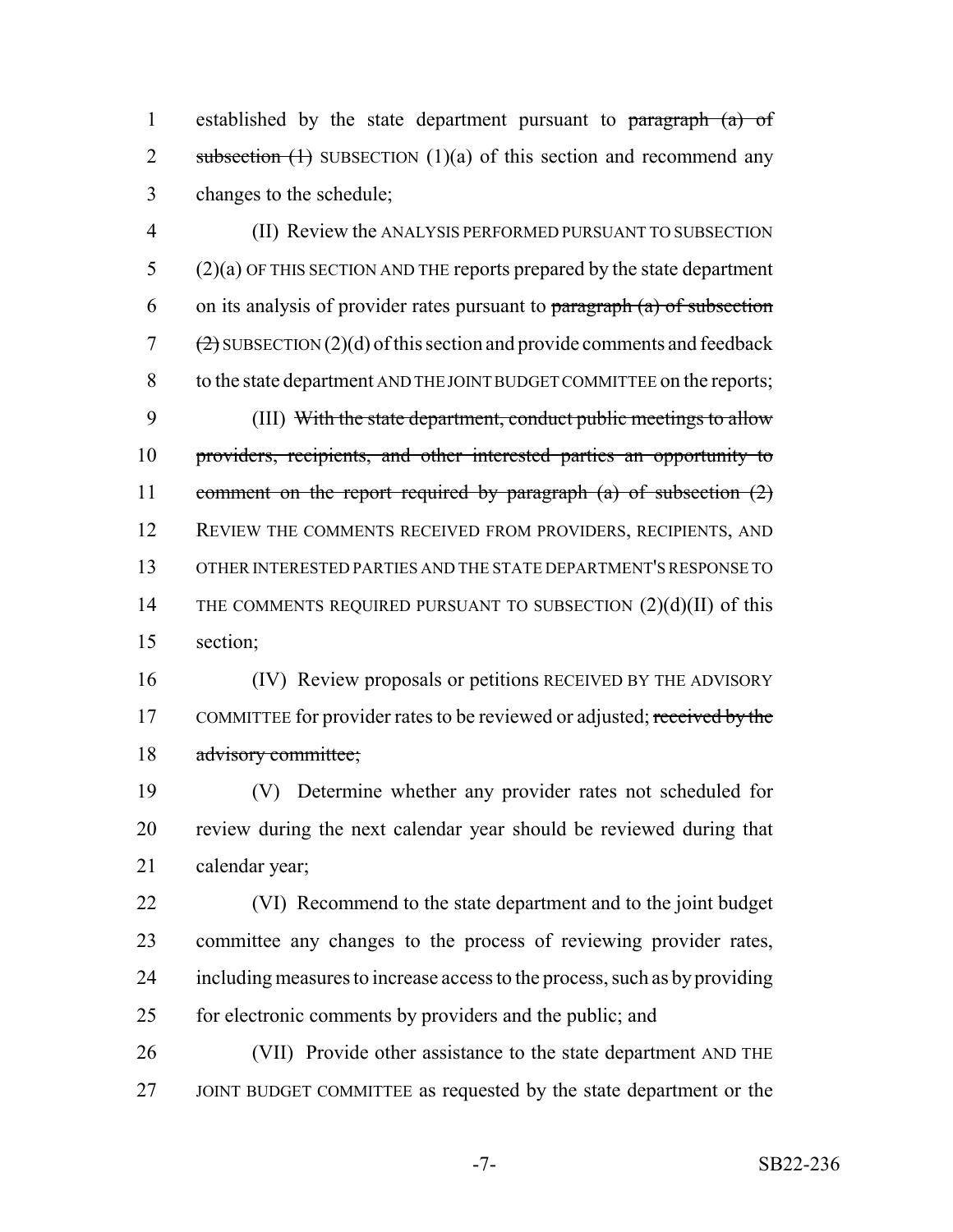1 established by the state department pursuant to paragraph (a) of 2 subsection  $(1)$  SUBSECTION  $(1)(a)$  of this section and recommend any changes to the schedule;

 (II) Review the ANALYSIS PERFORMED PURSUANT TO SUBSECTION (2)(a) OF THIS SECTION AND THE reports prepared by the state department 6 on its analysis of provider rates pursuant to paragraph  $(a)$  of subsection 7  $(2)$  SUBSECTION (2)(d) of this section and provide comments and feedback to the state department AND THE JOINT BUDGET COMMITTEE on the reports; (III) With the state department, conduct public meetings to allow 10 providers, recipients, and other interested parties an opportunity to comment on the report required by paragraph (a) of subsection (2) 12 REVIEW THE COMMENTS RECEIVED FROM PROVIDERS, RECIPIENTS, AND OTHER INTERESTED PARTIES AND THE STATE DEPARTMENT'S RESPONSE TO 14 THE COMMENTS REQUIRED PURSUANT TO SUBSECTION (2)(d)(II) of this section;

 (IV) Review proposals or petitions RECEIVED BY THE ADVISORY 17 COMMITTEE for provider rates to be reviewed or adjusted; received by the advisory committee;

 (V) Determine whether any provider rates not scheduled for review during the next calendar year should be reviewed during that calendar year;

 (VI) Recommend to the state department and to the joint budget committee any changes to the process of reviewing provider rates, including measures to increase access to the process, such as by providing 25 for electronic comments by providers and the public; and

 (VII) Provide other assistance to the state department AND THE JOINT BUDGET COMMITTEE as requested by the state department or the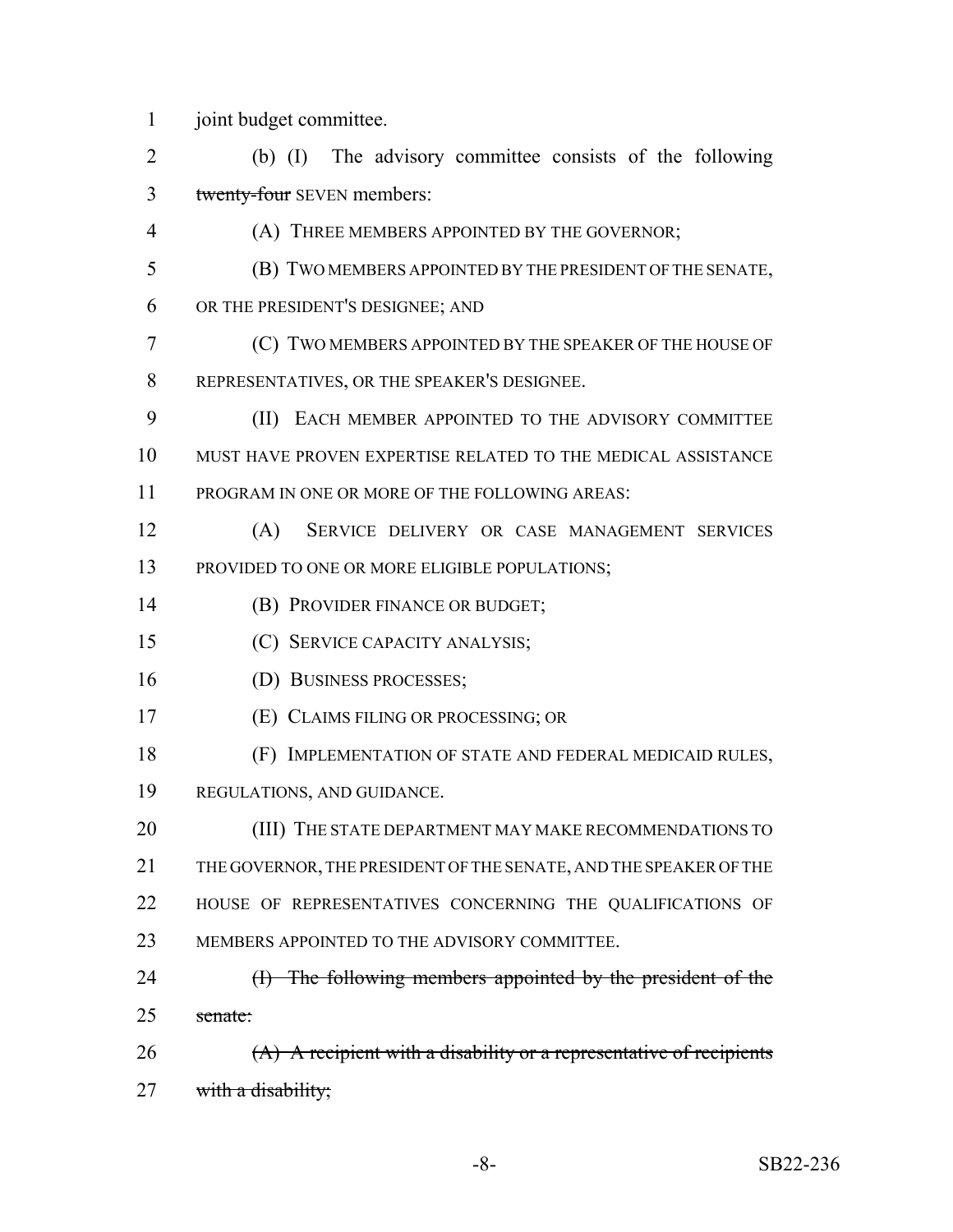joint budget committee.

 (b) (I) The advisory committee consists of the following 3 twenty-four SEVEN members:

- (A) THREE MEMBERS APPOINTED BY THE GOVERNOR;
- (B) TWO MEMBERS APPOINTED BY THE PRESIDENT OF THE SENATE,
- OR THE PRESIDENT'S DESIGNEE; AND

 (C) TWO MEMBERS APPOINTED BY THE SPEAKER OF THE HOUSE OF REPRESENTATIVES, OR THE SPEAKER'S DESIGNEE.

- (II) EACH MEMBER APPOINTED TO THE ADVISORY COMMITTEE MUST HAVE PROVEN EXPERTISE RELATED TO THE MEDICAL ASSISTANCE PROGRAM IN ONE OR MORE OF THE FOLLOWING AREAS:
- (A) SERVICE DELIVERY OR CASE MANAGEMENT SERVICES PROVIDED TO ONE OR MORE ELIGIBLE POPULATIONS;
- (B) PROVIDER FINANCE OR BUDGET;
- (C) SERVICE CAPACITY ANALYSIS;
- (D) BUSINESS PROCESSES;
- (E) CLAIMS FILING OR PROCESSING; OR
- (F) IMPLEMENTATION OF STATE AND FEDERAL MEDICAID RULES,
- REGULATIONS, AND GUIDANCE.

20 (III) THE STATE DEPARTMENT MAY MAKE RECOMMENDATIONS TO THE GOVERNOR, THE PRESIDENT OF THE SENATE, AND THE SPEAKER OF THE HOUSE OF REPRESENTATIVES CONCERNING THE QUALIFICATIONS OF 23 MEMBERS APPOINTED TO THE ADVISORY COMMITTEE.

- 24 (I) The following members appointed by the president of the senate:
- 26 (A) A recipient with a disability or a representative of recipients 27 with a disability;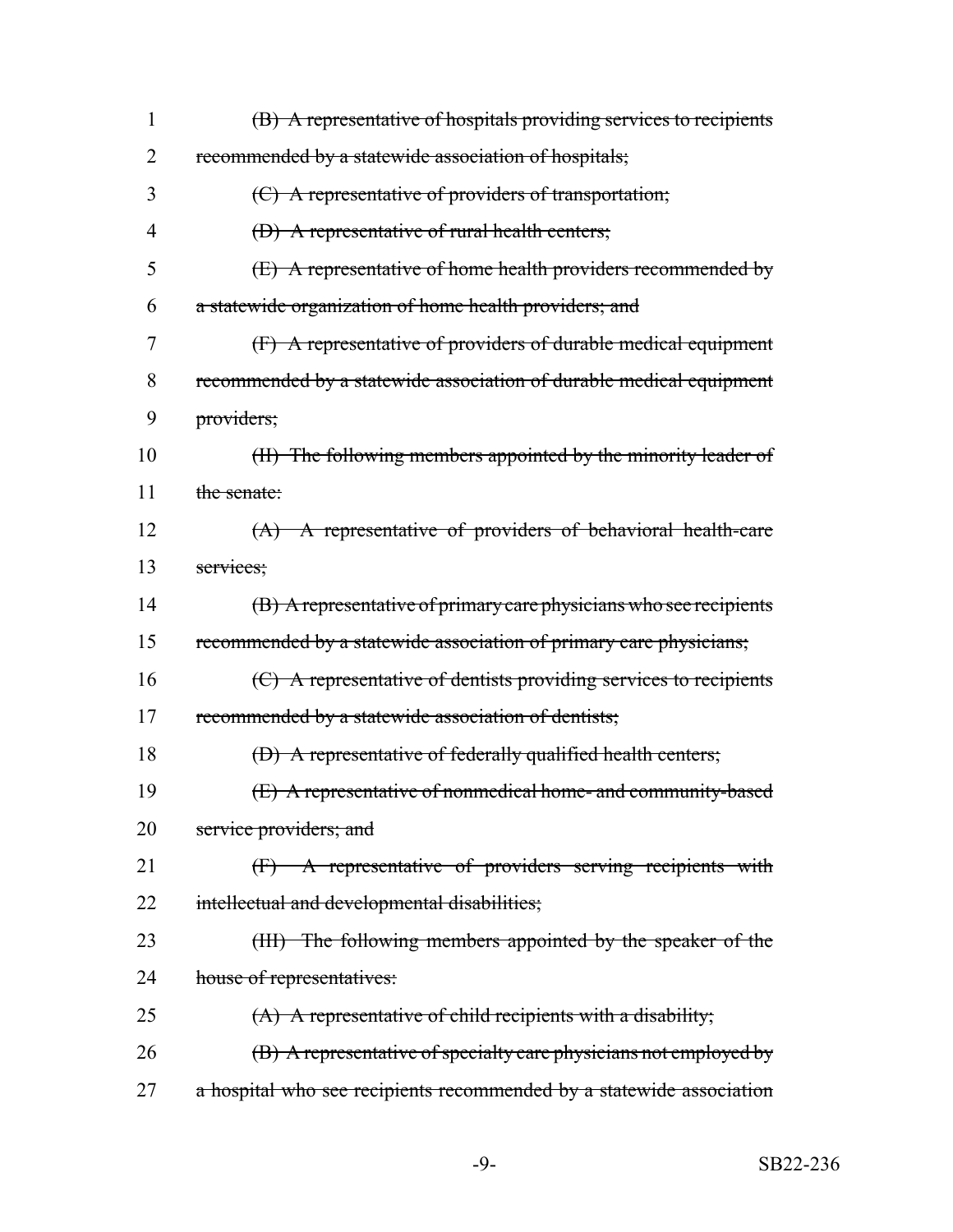| $\mathbf{1}$ | (B) A representative of hospitals providing services to recipients   |
|--------------|----------------------------------------------------------------------|
| 2            | recommended by a statewide association of hospitals;                 |
| 3            | (C) A representative of providers of transportation;                 |
| 4            | (D) A representative of rural health centers;                        |
| 5            | $(E)$ A representative of home health providers recommended by       |
| 6            | a statewide organization of home health providers; and               |
| 7            | (F) A representative of providers of durable medical equipment       |
| 8            | recommended by a statewide association of durable medical equipment  |
| 9            | providers;                                                           |
| 10           | (II) The following members appointed by the minority leader of       |
| 11           | the senate:                                                          |
| 12           | (A) A representative of providers of behavioral health-care          |
| 13           | services;                                                            |
| 14           | (B) A representative of primary care physicians who see recipients   |
| 15           | recommended by a statewide association of primary care physicians;   |
| 16           | (C) A representative of dentists providing services to recipients    |
| 17           | recommended by a statewide association of dentists;                  |
| 18           | (D) A representative of federally qualified health centers;          |
| 19           | (E) A representative of nonmedical home- and community-based         |
| 20           | service providers; and                                               |
| 21           | (F) A representative of providers serving recipients with            |
| 22           | intellectual and developmental disabilities;                         |
| 23           | (III) The following members appointed by the speaker of the          |
| 24           | house of representatives:                                            |
| 25           | $(A)$ A representative of child recipients with a disability;        |
| 26           | (B) A representative of specialty care physicians not employed by    |
| 27           | a hospital who see recipients recommended by a statewide association |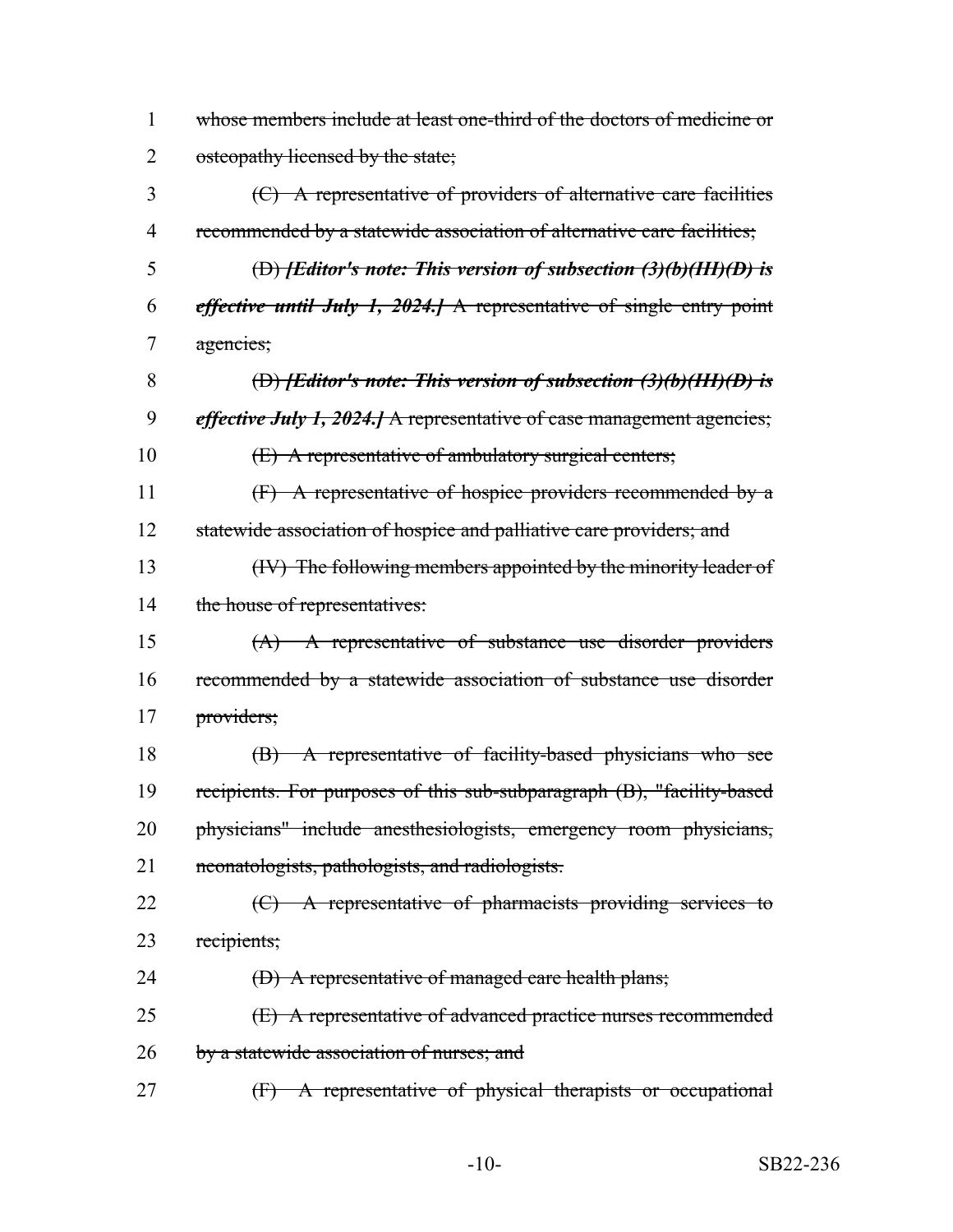| 1              | whose members include at least one-third of the doctors of medicine or              |
|----------------|-------------------------------------------------------------------------------------|
| 2              | osteopathy licensed by the state;                                                   |
| 3              | (C) A representative of providers of alternative care facilities                    |
| $\overline{4}$ | recommended by a statewide association of alternative care facilities;              |
| 5              | (D) <i>[Editor's note: This version of subsection (3)(b)(HH)(D) is</i>              |
| 6              | <i>effective until July 1, 2024.</i> A representative of single entry point         |
| 7              | agencies;                                                                           |
| 8              | (D) <i>[Editor's note: This version of subsection <math>(3)(b)(HH)(D)</math> is</i> |
| 9              | <i>effective July 1, 2024.</i> A representative of case management agencies;        |
| 10             | (E) A representative of ambulatory surgical centers;                                |
| 11             | (F) A representative of hospice providers recommended by a                          |
| 12             | statewide association of hospice and palliative care providers; and                 |
| 13             | (IV) The following members appointed by the minority leader of                      |
| 14             | the house of representatives:                                                       |
| 15             | $(A)$ A representative of substance use disorder providers                          |
| 16             | recommended by a statewide association of substance use disorder                    |
| 17             | providers;                                                                          |
| 18             | (B) A representative of facility-based physicians who see                           |
| 19             | recipients. For purposes of this sub-subparagraph (B), "facility-based              |
| 20             | physicians" include anesthesiologists, emergency room physicians,                   |
| 21             | neonatologists, pathologists, and radiologists.                                     |
| 22             | (C) A representative of pharmacists providing services to                           |
| 23             | recipients;                                                                         |
| 24             | (D) A representative of managed care health plans;                                  |
| 25             | (E) A representative of advanced practice nurses recommended                        |
| 26             | by a statewide association of nurses; and                                           |
| 27             | A representative of physical therapists or occupational<br>$\bigoplus$              |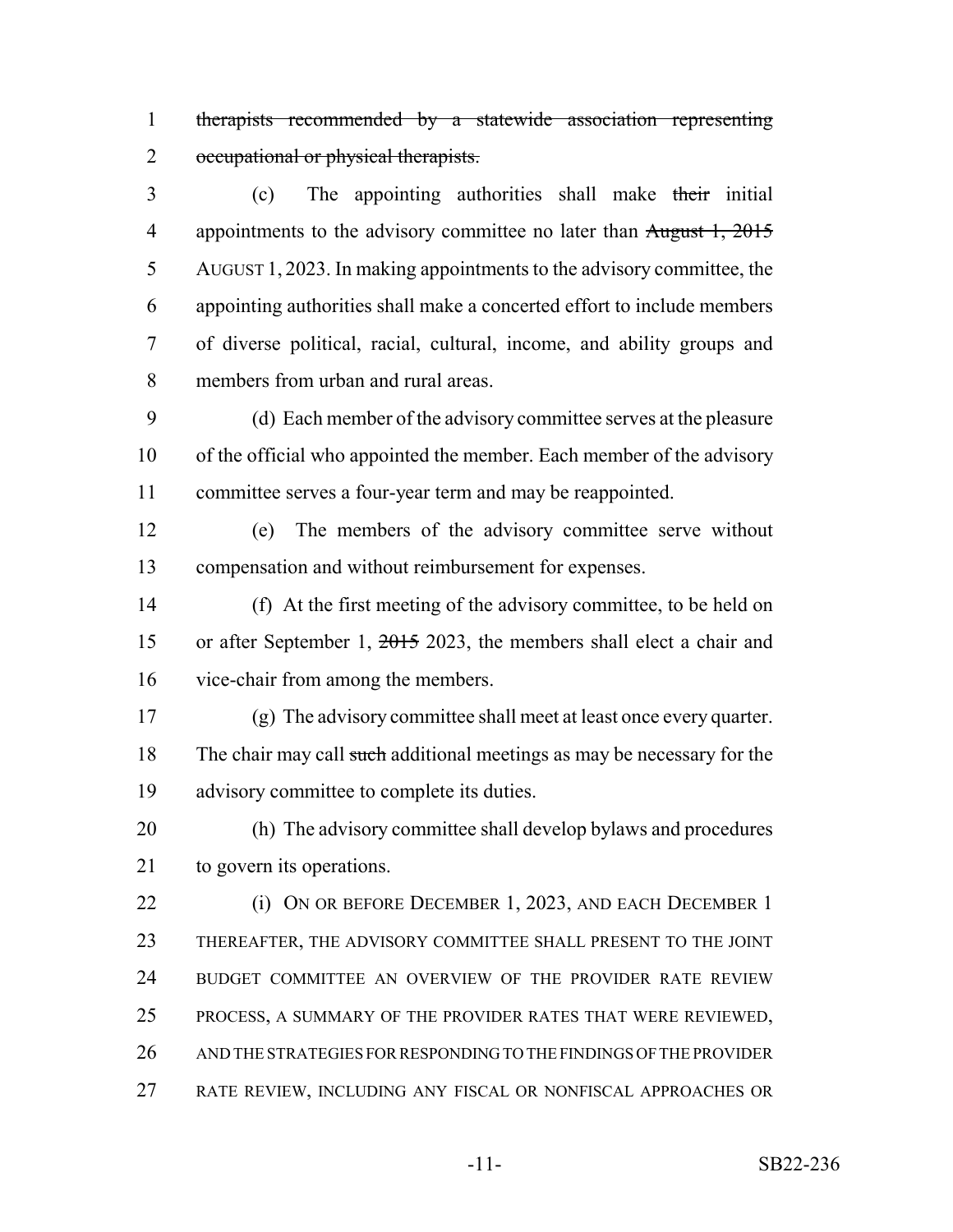therapists recommended by a statewide association representing 2 occupational or physical therapists.

3 (c) The appointing authorities shall make their initial 4 appointments to the advisory committee no later than August 1, 2015 AUGUST 1, 2023. In making appointments to the advisory committee, the appointing authorities shall make a concerted effort to include members of diverse political, racial, cultural, income, and ability groups and members from urban and rural areas.

 (d) Each member of the advisory committee serves at the pleasure of the official who appointed the member. Each member of the advisory committee serves a four-year term and may be reappointed.

 (e) The members of the advisory committee serve without compensation and without reimbursement for expenses.

 (f) At the first meeting of the advisory committee, to be held on or after September 1, 2015 2023, the members shall elect a chair and vice-chair from among the members.

 (g) The advisory committee shall meet at least once every quarter. 18 The chair may call such additional meetings as may be necessary for the advisory committee to complete its duties.

 (h) The advisory committee shall develop bylaws and procedures to govern its operations.

 (i) ON OR BEFORE DECEMBER 1, 2023, AND EACH DECEMBER 1 THEREAFTER, THE ADVISORY COMMITTEE SHALL PRESENT TO THE JOINT BUDGET COMMITTEE AN OVERVIEW OF THE PROVIDER RATE REVIEW PROCESS, A SUMMARY OF THE PROVIDER RATES THAT WERE REVIEWED, AND THE STRATEGIES FOR RESPONDING TO THE FINDINGS OF THE PROVIDER RATE REVIEW, INCLUDING ANY FISCAL OR NONFISCAL APPROACHES OR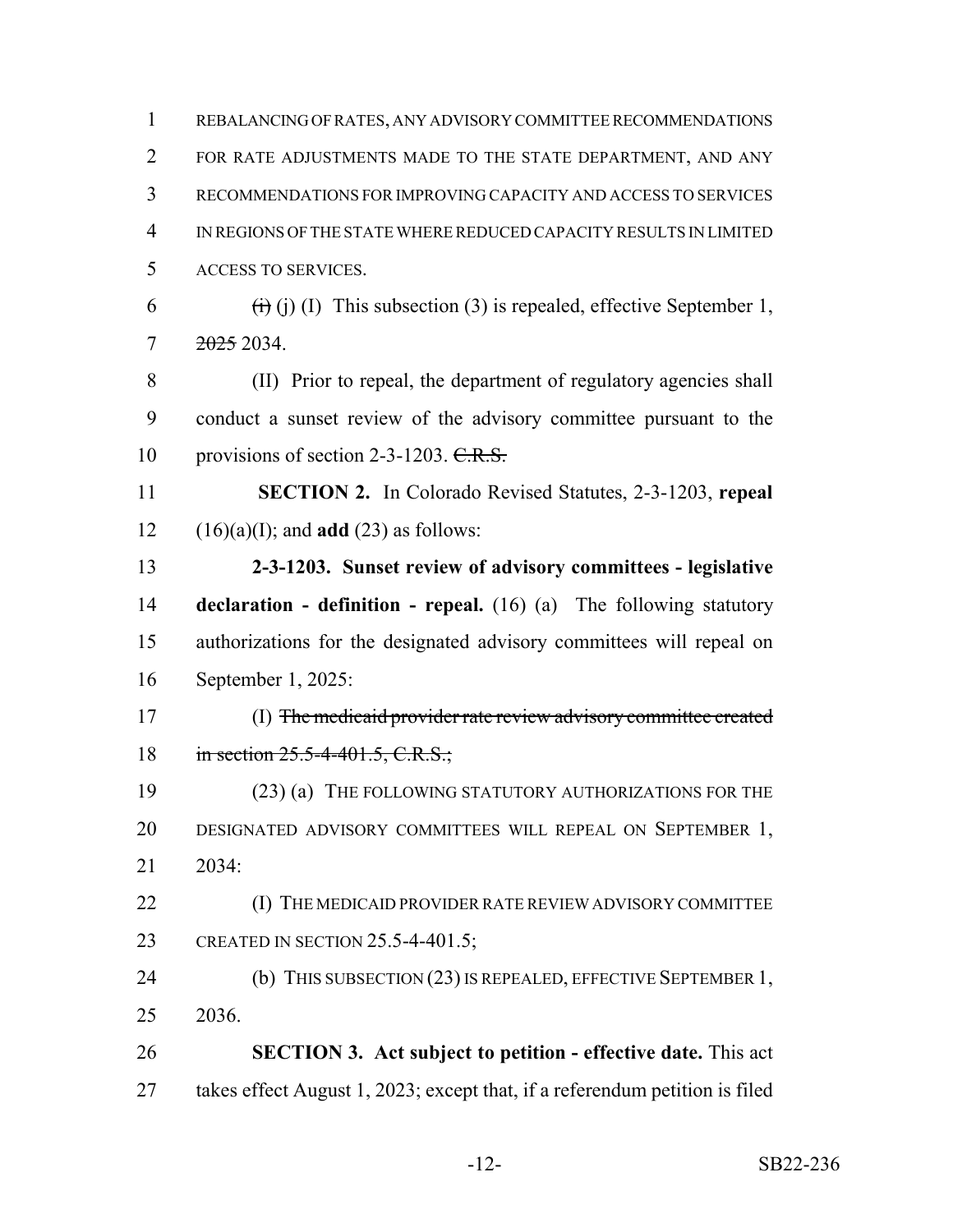| 1  | REBALANCING OF RATES, ANY ADVISORY COMMITTEE RECOMMENDATIONS                           |
|----|----------------------------------------------------------------------------------------|
| 2  | FOR RATE ADJUSTMENTS MADE TO THE STATE DEPARTMENT, AND ANY                             |
| 3  | RECOMMENDATIONS FOR IMPROVING CAPACITY AND ACCESS TO SERVICES                          |
| 4  | IN REGIONS OF THE STATE WHERE REDUCED CAPACITY RESULTS IN LIMITED                      |
| 5  | ACCESS TO SERVICES.                                                                    |
| 6  | $\overrightarrow{(t)}$ (j) (I) This subsection (3) is repealed, effective September 1, |
| 7  | <del>2025</del> 2034.                                                                  |
| 8  | (II) Prior to repeal, the department of regulatory agencies shall                      |
| 9  | conduct a sunset review of the advisory committee pursuant to the                      |
| 10 | provisions of section 2-3-1203. C.R.S.                                                 |
| 11 | <b>SECTION 2.</b> In Colorado Revised Statutes, 2-3-1203, repeal                       |
| 12 | $(16)(a)(I)$ ; and <b>add</b> $(23)$ as follows:                                       |
| 13 | 2-3-1203. Sunset review of advisory committees - legislative                           |
| 14 | <b>declaration - definition - repeal.</b> $(16)$ $(a)$ The following statutory         |
| 15 | authorizations for the designated advisory committees will repeal on                   |
|    |                                                                                        |
| 16 | September 1, 2025:                                                                     |
| 17 | (I) The medicaid provider rate review advisory committee created                       |
| 18 | in section $25.5-4-401.5$ , C.R.S.;                                                    |
| 19 | (23) (a) THE FOLLOWING STATUTORY AUTHORIZATIONS FOR THE                                |
| 20 | DESIGNATED ADVISORY COMMITTEES WILL REPEAL ON SEPTEMBER 1,                             |
| 21 | 2034:                                                                                  |
| 22 | (I) THE MEDICAID PROVIDER RATE REVIEW ADVISORY COMMITTEE                               |
| 23 | CREATED IN SECTION 25.5-4-401.5;                                                       |
| 24 | (b) THIS SUBSECTION (23) IS REPEALED, EFFECTIVE SEPTEMBER 1,                           |
| 25 | 2036.                                                                                  |
| 26 | <b>SECTION 3. Act subject to petition - effective date.</b> This act                   |